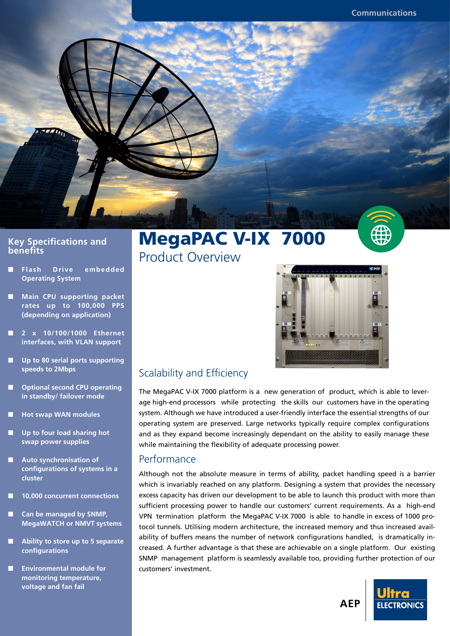

#### **Key Specifications and benefits**

- **Flash Drive embedded Operating System**
- **Main CPU supporting packet rates up to 100,000 PPS (depending on application)**
- **2 x 10/100/1000 Ethernet interfaces, with VLAN support**
- Up to 80 serial ports supporting **speeds to 2Mbps**
- **Optional second CPU operating in standby/ failover mode**
- **Hot swap WAN modules**
- **Up to four load sharing hot swap power supplies**
- **Auto synchronisation of confi gurations of systems in a cluster**
- **10,000 concurrent connections**
- **Can be managed by SNMP, MegaWATCH or NMVT systems**
- Ability to store up to 5 separate **confi gurations**
- **Environmental module for monitoring temperature, voltage and fan fail**

# MegaPAC V-IX 7000





## Scalability and Efficiency

The MegaPAC V-IX 7000 platform is a new generation of product, which is able to leverage high-end processors while protecting the skills our customers have in the operating system. Although we have introduced a user-friendly interface the essential strengths of our operating system are preserved. Large networks typically require complex configurations and as they expand become increasingly dependant on the ability to easily manage these while maintaining the flexibility of adequate processing power.

#### **Performance**

Although not the absolute measure in terms of ability, packet handling speed is a barrier which is invariably reached on any platform. Designing a system that provides the necessary excess capacity has driven our development to be able to launch this product with more than sufficient processing power to handle our customers' current requirements. As a high-end VPN termination platform the MegaPAC V-IX 7000 is able to handle in excess of 1000 protocol tunnels. Utilising modern architecture, the increased memory and thus increased availability of buffers means the number of network configurations handled, is dramatically increased. A further advantage is that these are achievable on a single platform. Our existing SNMP management platform is seamlessly available too, providing further protection of our customers' investment.